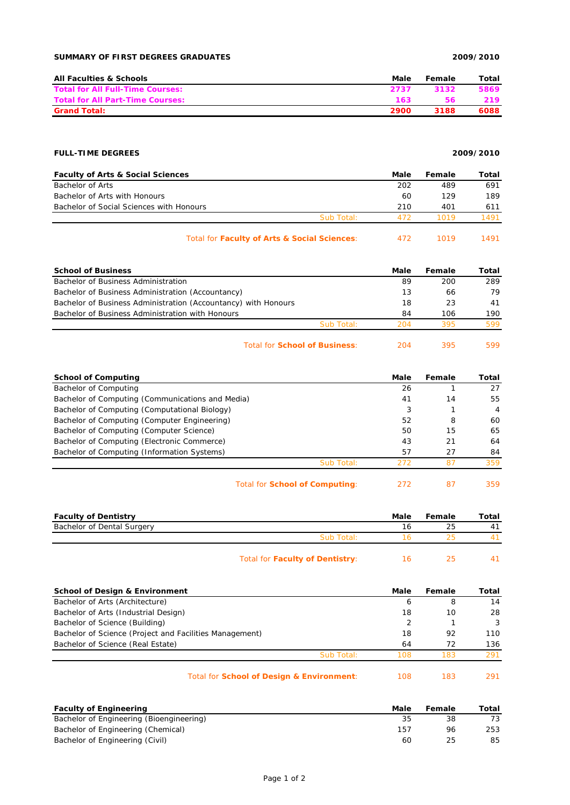## **SUMMARY OF FIRST DEGREES GRADUATES 2009/2010**

| <b>All Faculties &amp; Schools</b>      | Male | Female | Total |
|-----------------------------------------|------|--------|-------|
| <b>Total for All Full-Time Courses:</b> | 2737 | 3132   | 5869  |
| <b>Total for All Part-Time Courses:</b> | 163  | 56     | 219.  |
| <b>Grand Total:</b>                     | 2900 | 3188   | 6088  |

# **FULL-TIME DEGREES 2009/2010**

| <b>Faculty of Arts &amp; Social Sciences</b> |            | Male | Female | Total |
|----------------------------------------------|------------|------|--------|-------|
| Bachelor of Arts                             |            | 202  | 489    | 691   |
| Bachelor of Arts with Honours                |            | 60   | 129    | 189   |
| Bachelor of Social Sciences with Honours     |            | 210  | 401    | 611   |
|                                              | Sub Total: | 472  | 1019   | 1491  |
| Total for Faculty of Arts & Social Sciences: |            | 472  | 1019   | 1491  |

| <b>School of Business</b>                                      |            | Male | Female | Total |
|----------------------------------------------------------------|------------|------|--------|-------|
| Bachelor of Business Administration                            |            | 89   | 200    | 289   |
| Bachelor of Business Administration (Accountancy)              |            | 13   | 66     | 79    |
| Bachelor of Business Administration (Accountancy) with Honours |            | 18   | 23     | 41    |
| Bachelor of Business Administration with Honours               |            | 84   | 106    | 190   |
|                                                                | Sub Total: | 204  | 395    | 599   |
|                                                                |            |      |        |       |

### Total for **School of Business**: 204 395 599

| <b>School of Computing</b>                       |                                       | Male | Female | Total          |
|--------------------------------------------------|---------------------------------------|------|--------|----------------|
| Bachelor of Computing                            |                                       | 26   |        | 27             |
| Bachelor of Computing (Communications and Media) |                                       | 41   | 14     | 55             |
| Bachelor of Computing (Computational Biology)    |                                       | 3    |        | $\overline{4}$ |
| Bachelor of Computing (Computer Engineering)     |                                       | 52   | 8      | 60             |
| Bachelor of Computing (Computer Science)         |                                       | 50   | 15     | 65             |
| Bachelor of Computing (Electronic Commerce)      |                                       | 43   | 21     | 64             |
| Bachelor of Computing (Information Systems)      |                                       | 57   | 27     | 84             |
|                                                  | Sub Total:                            | 272  | 87     | 359            |
|                                                  | Total for <b>School of Computing:</b> | 272  | 87     | 359            |

| <b>Faculty of Dentistry</b> |                                        | Male | Female | Total          |
|-----------------------------|----------------------------------------|------|--------|----------------|
| Bachelor of Dental Surgery  |                                        | 16   | 25     | 4 <sup>1</sup> |
|                             | Sub Total:                             | h    |        |                |
|                             | Total for <b>Faculty of Dentistry:</b> | ıь   | 25     |                |

| <b>School of Design &amp; Environment</b>               | Male | Female | Total |
|---------------------------------------------------------|------|--------|-------|
| Bachelor of Arts (Architecture)                         | ь    | 8      | 14    |
| Bachelor of Arts (Industrial Design)                    | 18   | 10     | 28    |
| Bachelor of Science (Building)                          |      |        | 3     |
| Bachelor of Science (Project and Facilities Management) | 18   | 92     | 110   |
| Bachelor of Science (Real Estate)                       | 64   | 72     | 136   |
| Sub Total:                                              | 108  | 183    | 291   |
|                                                         |      |        |       |
| Total for School of Design & Environment:               | 108  | 183    |       |

| <b>Faculty of Engineering</b>            | Male | Female | Total |
|------------------------------------------|------|--------|-------|
| Bachelor of Engineering (Bioengineering) | 35   | 38     |       |
| Bachelor of Engineering (Chemical)       | 157  | 96     | 253   |
| Bachelor of Engineering (Civil)          | 60   | 25     | 85    |